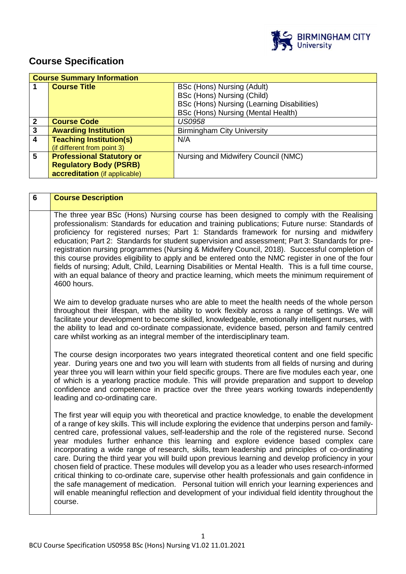

# **Course Specification**

|                | <b>Course Summary Information</b> |                                            |
|----------------|-----------------------------------|--------------------------------------------|
|                | <b>Course Title</b>               | BSc (Hons) Nursing (Adult)                 |
|                |                                   | BSc (Hons) Nursing (Child)                 |
|                |                                   | BSc (Hons) Nursing (Learning Disabilities) |
|                |                                   | BSc (Hons) Nursing (Mental Health)         |
| $\mathbf 2$    | <b>Course Code</b>                | <b>US0958</b>                              |
| 3              | <b>Awarding Institution</b>       | <b>Birmingham City University</b>          |
| $\overline{4}$ | <b>Teaching Institution(s)</b>    | N/A                                        |
|                | (if different from point 3)       |                                            |
| 5              | <b>Professional Statutory or</b>  | Nursing and Midwifery Council (NMC)        |
|                | <b>Regulatory Body (PSRB)</b>     |                                            |
|                | accreditation (if applicable)     |                                            |

| $6\phantom{1}$ | <b>Course Description</b>                                                                                                                                                                                                                                                                                                                                                                                                                                                                                                                                                                                                                                                                                                                                                                                                                                                                                                                                                                                                            |
|----------------|--------------------------------------------------------------------------------------------------------------------------------------------------------------------------------------------------------------------------------------------------------------------------------------------------------------------------------------------------------------------------------------------------------------------------------------------------------------------------------------------------------------------------------------------------------------------------------------------------------------------------------------------------------------------------------------------------------------------------------------------------------------------------------------------------------------------------------------------------------------------------------------------------------------------------------------------------------------------------------------------------------------------------------------|
|                | The three year BSc (Hons) Nursing course has been designed to comply with the Realising<br>professionalism: Standards for education and training publications; Future nurse: Standards of<br>proficiency for registered nurses; Part 1: Standards framework for nursing and midwifery<br>education; Part 2: Standards for student supervision and assessment; Part 3: Standards for pre-<br>registration nursing programmes (Nursing & Midwifery Council, 2018). Successful completion of<br>this course provides eligibility to apply and be entered onto the NMC register in one of the four<br>fields of nursing; Adult, Child, Learning Disabilities or Mental Health. This is a full time course,<br>with an equal balance of theory and practice learning, which meets the minimum requirement of<br>4600 hours.                                                                                                                                                                                                               |
|                | We aim to develop graduate nurses who are able to meet the health needs of the whole person<br>throughout their lifespan, with the ability to work flexibly across a range of settings. We will<br>facilitate your development to become skilled, knowledgeable, emotionally intelligent nurses, with<br>the ability to lead and co-ordinate compassionate, evidence based, person and family centred<br>care whilst working as an integral member of the interdisciplinary team.                                                                                                                                                                                                                                                                                                                                                                                                                                                                                                                                                    |
|                | The course design incorporates two years integrated theoretical content and one field specific<br>year. During years one and two you will learn with students from all fields of nursing and during<br>year three you will learn within your field specific groups. There are five modules each year, one<br>of which is a yearlong practice module. This will provide preparation and support to develop<br>confidence and competence in practice over the three years working towards independently<br>leading and co-ordinating care.                                                                                                                                                                                                                                                                                                                                                                                                                                                                                             |
|                | The first year will equip you with theoretical and practice knowledge, to enable the development<br>of a range of key skills. This will include exploring the evidence that underpins person and family-<br>centred care, professional values, self-leadership and the role of the registered nurse. Second<br>year modules further enhance this learning and explore evidence based complex care<br>incorporating a wide range of research, skills, team leadership and principles of co-ordinating<br>care. During the third year you will build upon previous learning and develop proficiency in your<br>chosen field of practice. These modules will develop you as a leader who uses research-informed<br>critical thinking to co-ordinate care, supervise other health professionals and gain confidence in<br>the safe management of medication. Personal tuition will enrich your learning experiences and<br>will enable meaningful reflection and development of your individual field identity throughout the<br>course. |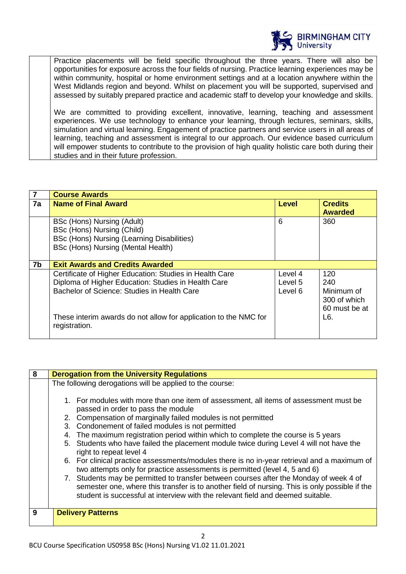

Practice placements will be field specific throughout the three years. There will also be opportunities for exposure across the four fields of nursing. Practice learning experiences may be within community, hospital or home environment settings and at a location anywhere within the West Midlands region and beyond. Whilst on placement you will be supported, supervised and assessed by suitably prepared practice and academic staff to develop your knowledge and skills.

We are committed to providing excellent, innovative, learning, teaching and assessment experiences. We use technology to enhance your learning, through lectures, seminars, skills, simulation and virtual learning. Engagement of practice partners and service users in all areas of learning, teaching and assessment is integral to our approach. Our evidence based curriculum will empower students to contribute to the provision of high quality holistic care both during their studies and in their future profession.

| 7  | <b>Course Awards</b>                                                                                                                                          |                               |                                                           |
|----|---------------------------------------------------------------------------------------------------------------------------------------------------------------|-------------------------------|-----------------------------------------------------------|
| 7a | <b>Name of Final Award</b>                                                                                                                                    | <b>Level</b>                  | <b>Credits</b><br><b>Awarded</b>                          |
|    | BSc (Hons) Nursing (Adult)<br>BSc (Hons) Nursing (Child)<br>BSc (Hons) Nursing (Learning Disabilities)<br>BSc (Hons) Nursing (Mental Health)                  | 6                             | 360                                                       |
| 7b | <b>Exit Awards and Credits Awarded</b>                                                                                                                        |                               |                                                           |
|    | Certificate of Higher Education: Studies in Health Care<br>Diploma of Higher Education: Studies in Health Care<br>Bachelor of Science: Studies in Health Care | Level 4<br>Level 5<br>Level 6 | 120<br>240<br>Minimum of<br>300 of which<br>60 must be at |
|    | These interim awards do not allow for application to the NMC for<br>registration.                                                                             |                               | L6.                                                       |

| 8 | <b>Derogation from the University Regulations</b>                                                                                                                                                                                                                           |  |  |  |
|---|-----------------------------------------------------------------------------------------------------------------------------------------------------------------------------------------------------------------------------------------------------------------------------|--|--|--|
|   | The following derogations will be applied to the course:                                                                                                                                                                                                                    |  |  |  |
|   |                                                                                                                                                                                                                                                                             |  |  |  |
|   | 1. For modules with more than one item of assessment, all items of assessment must be<br>passed in order to pass the module                                                                                                                                                 |  |  |  |
|   | 2. Compensation of marginally failed modules is not permitted                                                                                                                                                                                                               |  |  |  |
|   | 3. Condonement of failed modules is not permitted                                                                                                                                                                                                                           |  |  |  |
|   | 4. The maximum registration period within which to complete the course is 5 years                                                                                                                                                                                           |  |  |  |
|   | 5. Students who have failed the placement module twice during Level 4 will not have the<br>right to repeat level 4                                                                                                                                                          |  |  |  |
|   | 6. For clinical practice assessments/modules there is no in-year retrieval and a maximum of<br>two attempts only for practice assessments is permitted (level 4, 5 and 6)                                                                                                   |  |  |  |
|   | 7. Students may be permitted to transfer between courses after the Monday of week 4 of<br>semester one, where this transfer is to another field of nursing. This is only possible if the<br>student is successful at interview with the relevant field and deemed suitable. |  |  |  |
| 9 | <b>Delivery Patterns</b>                                                                                                                                                                                                                                                    |  |  |  |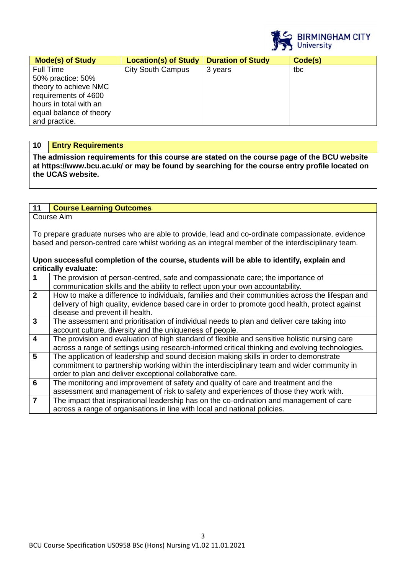

| <b>Mode(s) of Study</b>                                                                                                                               | <b>Location(s) of Study</b> | <b>Duration of Study</b> | Code(s) |
|-------------------------------------------------------------------------------------------------------------------------------------------------------|-----------------------------|--------------------------|---------|
| Full Time<br>50% practice: 50%<br>theory to achieve NMC<br>requirements of 4600<br>hours in total with an<br>equal balance of theory<br>and practice. | <b>City South Campus</b>    | 3 years                  | tbc     |

#### **10 Entry Requirements**

**The admission requirements for this course are stated on the course page of the BCU website at https://www.bcu.ac.uk/ or may be found by searching for the course entry profile located on the UCAS website.** 

# **11 Course Learning Outcomes**

Course Aim

To prepare graduate nurses who are able to provide, lead and co-ordinate compassionate, evidence based and person-centred care whilst working as an integral member of the interdisciplinary team.

#### **Upon successful completion of the course, students will be able to identify, explain and critically evaluate:**

| $\overline{1}$          | The provision of person-centred, safe and compassionate care; the importance of                 |
|-------------------------|-------------------------------------------------------------------------------------------------|
|                         | communication skills and the ability to reflect upon your own accountability.                   |
| $\overline{2}$          | How to make a difference to individuals, families and their communities across the lifespan and |
|                         | delivery of high quality, evidence based care in order to promote good health, protect against  |
|                         | disease and prevent ill health.                                                                 |
| $\overline{3}$          | The assessment and prioritisation of individual needs to plan and deliver care taking into      |
|                         | account culture, diversity and the uniqueness of people.                                        |
| $\overline{\mathbf{4}}$ | The provision and evaluation of high standard of flexible and sensitive holistic nursing care   |
|                         | across a range of settings using research-informed critical thinking and evolving technologies. |
| $5\overline{5}$         | The application of leadership and sound decision making skills in order to demonstrate          |
|                         | commitment to partnership working within the interdisciplinary team and wider community in      |
|                         | order to plan and deliver exceptional collaborative care.                                       |
| $6\phantom{1}6$         | The monitoring and improvement of safety and quality of care and treatment and the              |
|                         | assessment and management of risk to safety and experiences of those they work with.            |
| $\overline{7}$          | The impact that inspirational leadership has on the co-ordination and management of care        |
|                         | across a range of organisations in line with local and national policies.                       |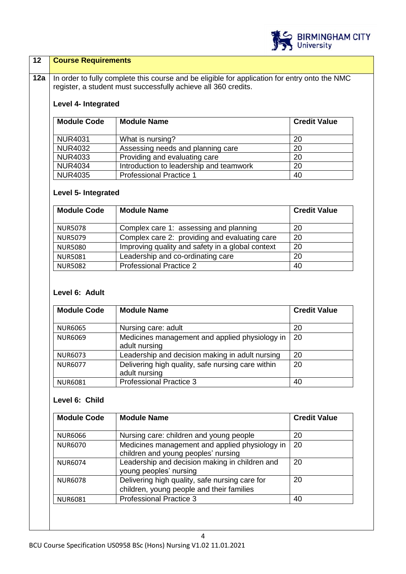

#### **12 Course Requirements**

12a In order to fully complete this course and be eligible for application for entry onto the NMC register, a student must successfully achieve all 360 credits.

# **Level 4- Integrated**

| <b>Module Code</b> | <b>Module Name</b>                      | <b>Credit Value</b> |
|--------------------|-----------------------------------------|---------------------|
| <b>NUR4031</b>     | What is nursing?                        | 20                  |
| <b>NUR4032</b>     | Assessing needs and planning care       | 20                  |
| <b>NUR4033</b>     | Providing and evaluating care           | 20                  |
| <b>NUR4034</b>     | Introduction to leadership and teamwork | 20                  |
| <b>NUR4035</b>     | <b>Professional Practice 1</b>          | 40                  |

# **Level 5- Integrated**

| <b>Module Code</b> | <b>Module Name</b>                               | <b>Credit Value</b> |
|--------------------|--------------------------------------------------|---------------------|
| <b>NUR5078</b>     | Complex care 1: assessing and planning           | 20                  |
| <b>NUR5079</b>     | Complex care 2: providing and evaluating care    | 20                  |
| <b>NUR5080</b>     | Improving quality and safety in a global context | 20                  |
| <b>NUR5081</b>     | Leadership and co-ordinating care                | 20                  |
| <b>NUR5082</b>     | <b>Professional Practice 2</b>                   | 40                  |

# **Level 6: Adult**

| <b>Module Code</b> | <b>Module Name</b>                                | <b>Credit Value</b> |
|--------------------|---------------------------------------------------|---------------------|
|                    |                                                   |                     |
| <b>NUR6065</b>     | Nursing care: adult                               | 20                  |
| <b>NUR6069</b>     | Medicines management and applied physiology in    | 20                  |
|                    | adult nursing                                     |                     |
| <b>NUR6073</b>     | Leadership and decision making in adult nursing   | 20                  |
| <b>NUR6077</b>     | Delivering high quality, safe nursing care within | 20                  |
|                    | adult nursing                                     |                     |
| <b>NUR6081</b>     | <b>Professional Practice 3</b>                    | 40                  |

## **Level 6: Child**

| <b>Module Code</b> | <b>Module Name</b>                                                                          | <b>Credit Value</b> |
|--------------------|---------------------------------------------------------------------------------------------|---------------------|
| <b>NUR6066</b>     | Nursing care: children and young people                                                     | 20                  |
| <b>NUR6070</b>     | Medicines management and applied physiology in<br>children and young peoples' nursing       | 20                  |
| <b>NUR6074</b>     | Leadership and decision making in children and<br>young peoples' nursing                    | 20                  |
| <b>NUR6078</b>     | Delivering high quality, safe nursing care for<br>children, young people and their families | 20                  |
| <b>NUR6081</b>     | <b>Professional Practice 3</b>                                                              | 40                  |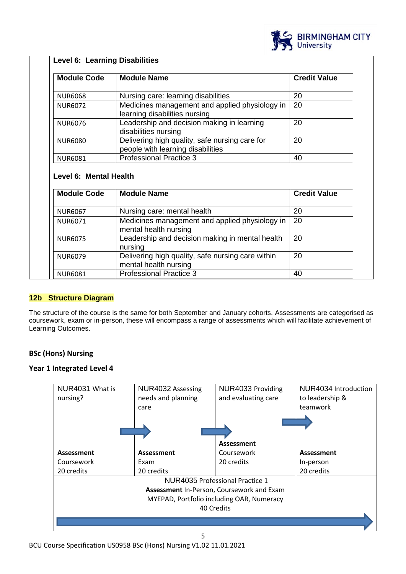

| <b>Module Code</b>                                                                                                   | <b>Module Name</b>                                                                  | <b>Credit Value</b> |
|----------------------------------------------------------------------------------------------------------------------|-------------------------------------------------------------------------------------|---------------------|
| <b>NUR6068</b>                                                                                                       | Nursing care: learning disabilities                                                 | 20                  |
| <b>NUR6072</b>                                                                                                       | Medicines management and applied physiology in<br>learning disabilities nursing     | 20                  |
| <b>NUR6076</b>                                                                                                       | Leadership and decision making in learning<br>disabilities nursing                  | 20                  |
| <b>NUR6080</b>                                                                                                       | Delivering high quality, safe nursing care for<br>people with learning disabilities | 20                  |
| <b>NUR6081</b>                                                                                                       | <b>Professional Practice 3</b>                                                      | 40                  |
|                                                                                                                      |                                                                                     |                     |
|                                                                                                                      | <b>Module Name</b>                                                                  | <b>Credit Value</b> |
|                                                                                                                      | Nursing care: mental health                                                         | 20                  |
|                                                                                                                      | Medicines management and applied physiology in<br>mental health nursing             | 20                  |
|                                                                                                                      | Leadership and decision making in mental health<br>nursing                          | 20                  |
| Level 6: Mental Health<br><b>Module Code</b><br><b>NUR6067</b><br><b>NUR6071</b><br><b>NUR6075</b><br><b>NUR6079</b> | Delivering high quality, safe nursing care within<br>mental health nursing          | 20                  |

#### **12b Structure Diagram**

The structure of the course is the same for both September and January cohorts. Assessments are categorised as coursework, exam or in-person, these will encompass a range of assessments which will facilitate achievement of Learning Outcomes.

## **BSc (Hons) Nursing**

#### **Year 1 Integrated Level 4**

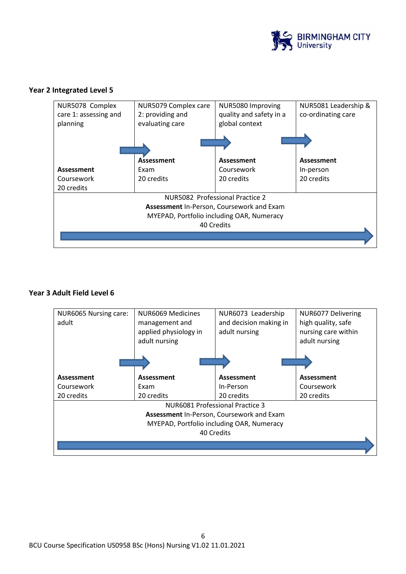

#### **Year 2 Integrated Level 5**



#### **Year 3 Adult Field Level 6**

| NUR6065 Nursing care:<br>adult | NUR6069 Medicines<br>management and<br>applied physiology in<br>adult nursing | NUR6073 Leadership<br>and decision making in<br>adult nursing | NUR6077 Delivering<br>high quality, safe<br>nursing care within<br>adult nursing |  |  |  |
|--------------------------------|-------------------------------------------------------------------------------|---------------------------------------------------------------|----------------------------------------------------------------------------------|--|--|--|
|                                |                                                                               |                                                               |                                                                                  |  |  |  |
| Assessment                     | Assessment                                                                    | Assessment                                                    | Assessment                                                                       |  |  |  |
| Coursework                     | Exam                                                                          | In-Person                                                     | Coursework                                                                       |  |  |  |
| 20 credits                     | 20 credits                                                                    | 20 credits                                                    | 20 credits                                                                       |  |  |  |
|                                |                                                                               | NUR6081 Professional Practice 3                               |                                                                                  |  |  |  |
|                                |                                                                               | Assessment In-Person, Coursework and Exam                     |                                                                                  |  |  |  |
|                                | MYEPAD, Portfolio including OAR, Numeracy                                     |                                                               |                                                                                  |  |  |  |
| 40 Credits                     |                                                                               |                                                               |                                                                                  |  |  |  |
|                                |                                                                               |                                                               |                                                                                  |  |  |  |
|                                |                                                                               |                                                               |                                                                                  |  |  |  |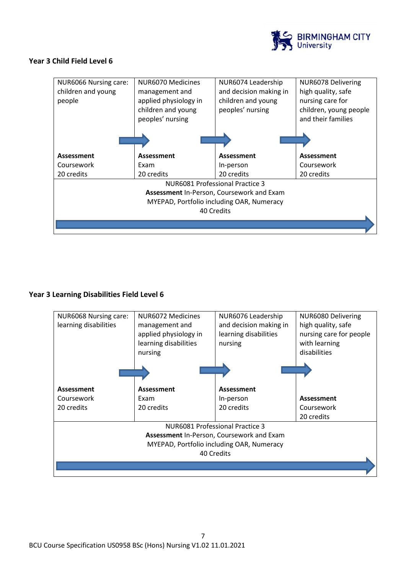

#### **Year 3 Child Field Level 6**

| <b>NUR6066 Nursing care:</b>              | NUR6070 Medicines     | NUR6074 Leadership     | NUR6078 Delivering     |  |
|-------------------------------------------|-----------------------|------------------------|------------------------|--|
| children and young                        | management and        | and decision making in | high quality, safe     |  |
| people                                    | applied physiology in | children and young     | nursing care for       |  |
|                                           | children and young    | peoples' nursing       | children, young people |  |
|                                           | peoples' nursing      |                        | and their families     |  |
|                                           |                       |                        |                        |  |
|                                           |                       |                        |                        |  |
|                                           |                       |                        |                        |  |
| Assessment                                | Assessment            | Assessment             | Assessment             |  |
| Coursework                                | Exam                  | In-person              | Coursework             |  |
| 20 credits                                | 20 credits            | 20 credits             | 20 credits             |  |
| <b>NUR6081 Professional Practice 3</b>    |                       |                        |                        |  |
| Assessment In-Person, Coursework and Exam |                       |                        |                        |  |
| MYEPAD, Portfolio including OAR, Numeracy |                       |                        |                        |  |
| 40 Credits                                |                       |                        |                        |  |
|                                           |                       |                        |                        |  |
|                                           |                       |                        |                        |  |

## **Year 3 Learning Disabilities Field Level 6**